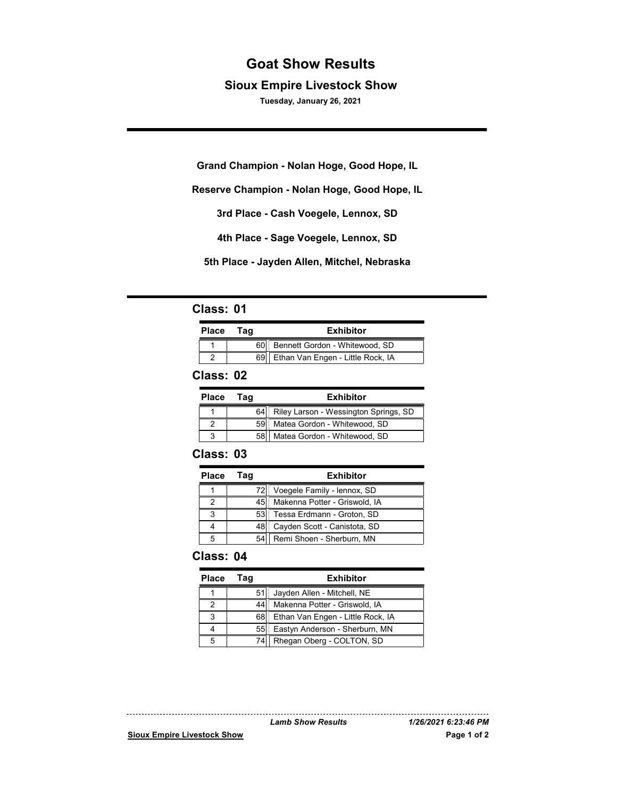# Goat Show Results

### Sioux Empire Livestock Show

Tuesday, January 26, 2021

**Grand Champion - Nolan Hoge, Good Hope, IL**

**Reserve Champion - Nolan Hoge, Good Hope, IL**

**3rd Place - Cash Voegele, Lennox, SD**

**4th Place - Sage Voegele, Lennox, SD**

**5th Place - Jayden Allen, Mitchel, Nebraska**

### Class: 01

| <b>Place</b> | Tag | <b>Exhibitor</b>                       |
|--------------|-----|----------------------------------------|
|              |     | 60 Bennett Gordon - Whitewood, SD      |
|              |     | 69   Ethan Van Engen - Little Rock, IA |

#### Class: 02

| <b>Place</b> | Taɑ  | <b>Exhibitor</b>                      |
|--------------|------|---------------------------------------|
|              | 64   | Riley Larson - Wessington Springs, SD |
|              | 59H  | Matea Gordon - Whitewood, SD          |
| J            | 58II | Matea Gordon - Whitewood, SD          |

#### Class: 03

| <b>Place</b> | Taq   | <b>Exhibitor</b>                   |
|--------------|-------|------------------------------------|
|              | 721   | Voegele Family - lennox, SD        |
|              |       | 45   Makenna Potter - Griswold, IA |
| ◠            | 53    | Tessa Erdmann - Groton, SD         |
|              | 48I I | Cayden Scott - Canistota, SD       |
|              |       | 54 Remi Shoen - Sherburn, MN       |

### Class: 04

| <b>Place</b> | Taɑ | <b>Exhibitor</b>                       |
|--------------|-----|----------------------------------------|
|              | 511 | Jayden Allen - Mitchell, NE            |
|              |     | Makenna Potter - Griswold, IA          |
|              |     | 68   Ethan Van Engen - Little Rock, IA |
|              |     | 55   Eastyn Anderson - Sherburn, MN    |
|              |     | 74   Rhegan Oberg - COLTON, SD         |